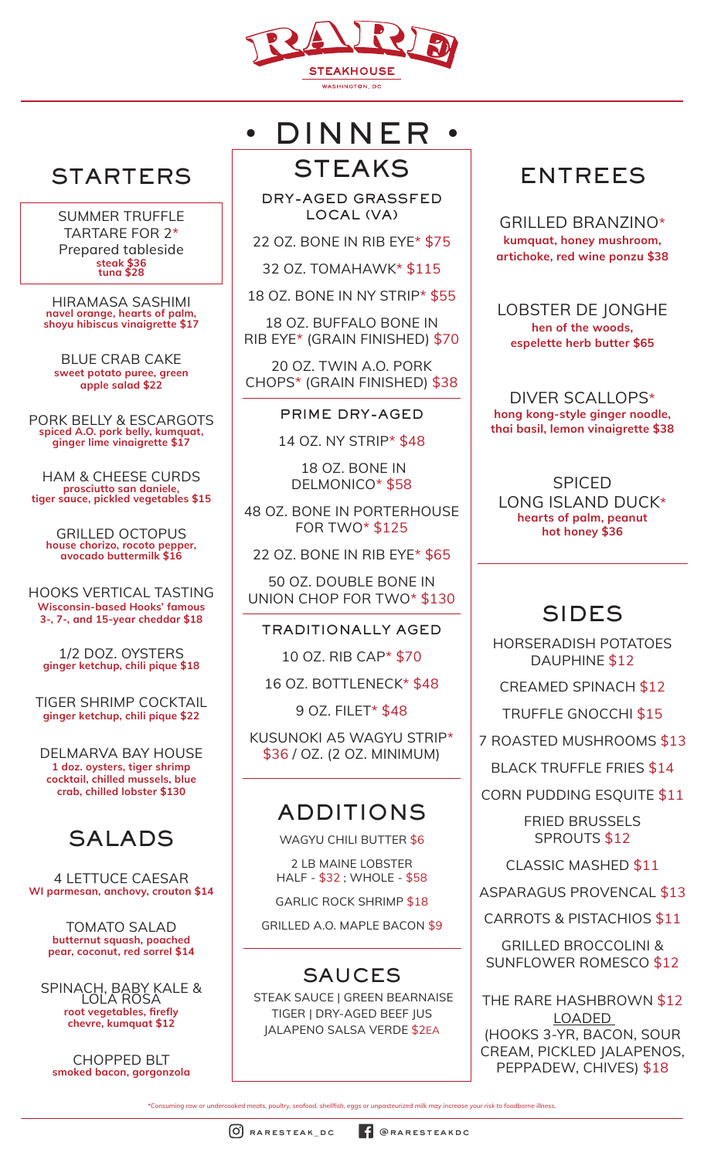

DRY-AGED GRASSFED LOCAL (VA)

22 OZ. BONE IN RIB EYE\* \$75

**STEAKS** 

• DINNER •

32 OZ. TOMAHAWK\* \$115

18 OZ. BONE IN NY STRIP\* \$55

18 OZ. BUFFALO BONE IN RIB EYE\* (GRAIN FINISHED) \$70

20 OZ. TWIN A.O. PORK CHOPS\* (GRAIN FINISHED) \$38

PRIME DRY-AGED

14 OZ. NY STRIP\* \$48

 18 OZ. BONE IN DELMONICO\* \$58

48 OZ. BONE IN PORTERHOUSE FOR TWO\* \$125

22 OZ. BONE IN RIB EYE\* \$65

50 OZ. DOUBLE BONE IN UNION CHOP FOR TWO\* \$130

TRADITIONALLY AGED

10 OZ. RIB CAP\* \$70

16 OZ. BOTTLENECK\* \$48

9 OZ. FILET\* \$48

KUSUNOKI A5 WAGYU STRIP\* \$36 / OZ. (2 OZ. MINIMUM)

#### ADDITIONS

WAGYU CHILI BUTTER \$6

2 LB MAINE LOBSTER HALF - \$32 ; WHOLE - \$58

GARLIC ROCK SHRIMP \$18

GRILLED A.O. MAPLE BACON \$9

## SAUCES

 STEAK SAUCE | GREEN BEARNAISE TIGER | DRY-AGED BEEF JUS JALAPENO SALSA VERDE \$2EA

## ENTREES

GRILLED BRANZINO\* **kumquat, honey mushroom, artichoke, red wine ponzu \$38**

LOBSTER DE JONGHE **hen of the woods, espelette herb butter \$65**

DIVER SCALLOPS\* **hong kong-style ginger noodle, thai basil, lemon vinaigrette \$38**

SPICED LONG ISLAND DUCK\* **hearts of palm, peanut hot honey \$36**

## SIDES

HORSERADISH POTATOES DAUPHINE \$12

CREAMED SPINACH \$12

TRUFFLE GNOCCHI \$15

7 ROASTED MUSHROOMS \$13

BLACK TRUFFLE FRIES \$14

CORN PUDDING ESQUITE \$11

FRIED BRUSSELS SPROUTS \$12

CLASSIC MASHED \$11

ASPARAGUS PROVENCAL \$13

CARROTS & PISTACHIOS \$11

GRILLED BROCCOLINI & SUNFLOWER ROMESCO \$12

THE RARE HASHBROWN \$12 LOADED (HOOKS 3-YR, BACON, SOUR CREAM, PICKLED JALAPENOS, PEPPADEW, CHIVES) \$18

*\*Consuming raw or undercooked meats, poultry, seafood, shellfish, eggs or unpasteurized milk may increase your risk to foodborne illness.*

# STARTERS

SUMMER TRUFFLE TARTARE FOR 2\* Prepared tableside **steak \$36 tuna \$28**

HIRAMASA SASHIMI **navel orange, hearts of palm, shoyu hibiscus vinaigrette \$17**

BLUE CRAB CAKE **sweet potato puree, green apple salad \$22**

PORK BELLY & ESCARGOTS **spiced A.O. pork belly, kumquat, ginger lime vinaigrette \$17**

HAM & CHEESE CURDS **prosciutto san daniele, tiger sauce, pickled vegetables \$15**

GRILLED OCTOPUS **house chorizo, rocoto pepper, avocado buttermilk \$16**

HOOKS VERTICAL TASTING **Wisconsin-based Hooks' famous 3-, 7-, and 15-year cheddar \$18**

1/2 DOZ. OYSTERS **ginger ketchup, chili pique \$18**

TIGER SHRIMP COCKTAIL **ginger ketchup, chili pique \$22**

DELMARVA BAY HOUSE **1 doz. oysters, tiger shrimp cocktail, chilled mussels, blue crab, chilled lobster \$130**

## SALADS

4 LETTUCE CAESAR **WI parmesan, anchovy, crouton \$14**

> TOMATO SALAD **butternut squash, poached pear, coconut, red sorrel \$14**

SPINACH, BABY KALE & LOLA ROSA **root vegetables, firefly chevre, kumquat \$12**

CHOPPED BLT **smoked bacon, gorgonzola**